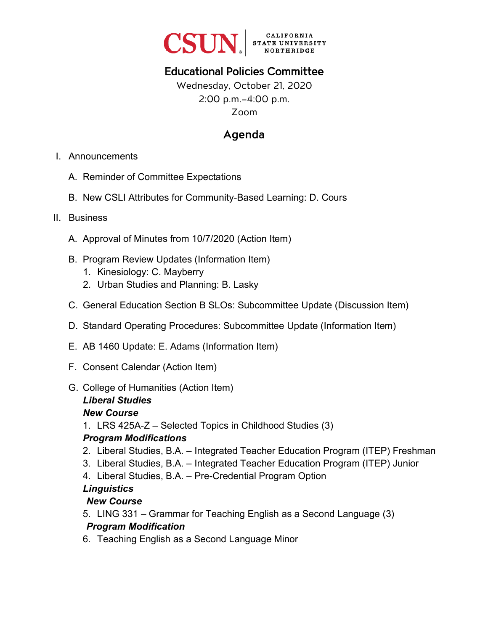

# Educational Policies Committee

# Wednesday, October 21, 2020 2:00 p.m.–4:00 p.m. Zoom

# Agenda

- I. Announcements
	- A. Reminder of Committee Expectations
	- B. New CSLI Attributes for Community-Based Learning: D. Cours
- II. Business
	- A. Approval of Minutes from 10/7/2020 (Action Item)
	- B. Program Review Updates (Information Item)
		- 1. Kinesiology: C. Mayberry
		- 2. Urban Studies and Planning: B. Lasky
	- C. General Education Section B SLOs: Subcommittee Update (Discussion Item)
	- D. Standard Operating Procedures: Subcommittee Update (Information Item)
	- E. AB 1460 Update: E. Adams (Information Item)
	- F. Consent Calendar (Action Item)
	- G. College of Humanities (Action Item)

#### *Liberal Studies*

#### *New Course*

1. LRS 425A-Z – Selected Topics in Childhood Studies (3)

### *Program Modifications*

- 2. Liberal Studies, B.A. Integrated Teacher Education Program (ITEP) Freshman
- 3. Liberal Studies, B.A. Integrated Teacher Education Program (ITEP) Junior
- 4. Liberal Studies, B.A. Pre-Credential Program Option

### *Linguistics*

### *New Course*

- 5. LING 331 Grammar for Teaching English as a Second Language (3) *Program Modification*
- 6. Teaching English as a Second Language Minor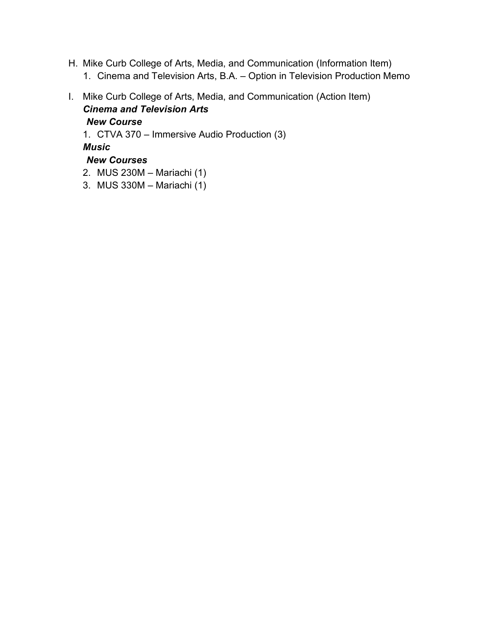- H. Mike Curb College of Arts, Media, and Communication (Information Item)
	- 1. Cinema and Television Arts, B.A. Option in Television Production Memo
- I. Mike Curb College of Arts, Media, and Communication (Action Item) *Cinema and Television Arts*

*New Course* 1. CTVA 370 – Immersive Audio Production (3) *Music New Courses*

- 2. MUS 230M Mariachi (1)
- 3. MUS 330M Mariachi (1)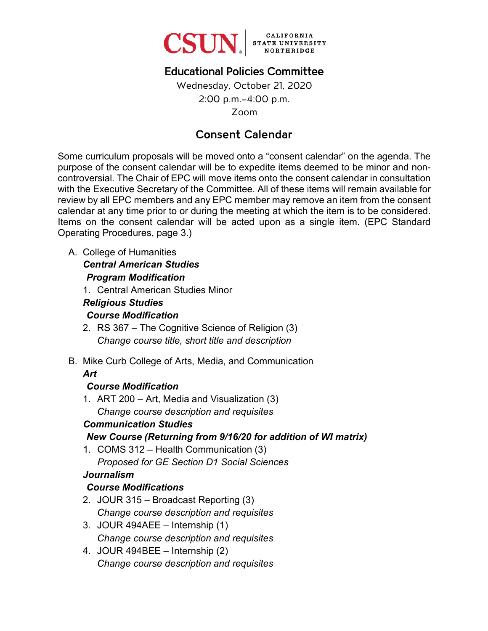

# Educational Policies Committee

Wednesday, October 21, 2020 2:00 p.m.–4:00 p.m. Zoom

# Consent Calendar

Some curriculum proposals will be moved onto a "consent calendar" on the agenda. The purpose of the consent calendar will be to expedite items deemed to be minor and noncontroversial. The Chair of EPC will move items onto the consent calendar in consultation with the Executive Secretary of the Committee. All of these items will remain available for review by all EPC members and any EPC member may remove an item from the consent calendar at any time prior to or during the meeting at which the item is to be considered. Items on the consent calendar will be acted upon as a single item. (EPC Standard Operating Procedures, page 3.)

A. College of Humanities

#### *Central American Studies*

### *Program Modification*

1. Central American Studies Minor

#### *Religious Studies Course Modification*

- 2. RS 367 The Cognitive Science of Religion (3) *Change course title, short title and description*
- B. Mike Curb College of Arts, Media, and Communication *Art*

# *Course Modification*

1. ART 200 – Art, Media and Visualization (3) *Change course description and requisites*

### *Communication Studies*

# *New Course (Returning from 9/16/20 for addition of WI matrix)*

1. COMS 312 – Health Communication (3) *Proposed for GE Section D1 Social Sciences*

### *Journalism*

# *Course Modifications*

- 2. JOUR 315 Broadcast Reporting (3) *Change course description and requisites*
- 3. JOUR 494AEE Internship (1) *Change course description and requisites*
- 4. JOUR 494BEE Internship (2) *Change course description and requisites*